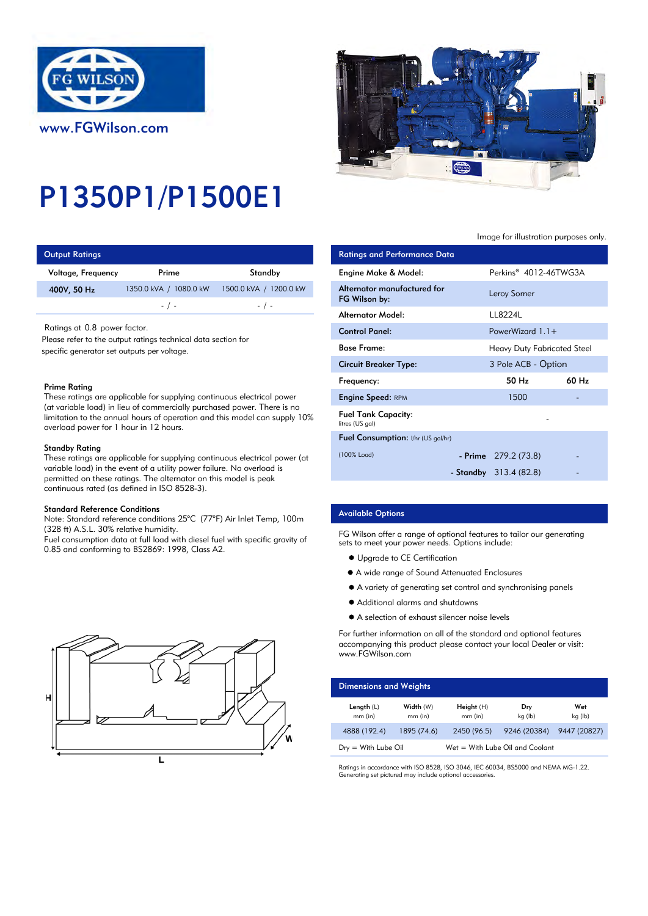

# P1350P1/P1500E1

| <b>Output Ratings</b> |                        |                           | <b>Ratings and Performance Data</b> |
|-----------------------|------------------------|---------------------------|-------------------------------------|
| Voltage, Frequency    | Prime                  | Standby                   | Engine Make & Model:                |
| 400V, 50 Hz           | 1350.0 kVA / 1080.0 kW | 1500.0 kVA /<br>1200.0 kW | Alternator manufactured for         |
|                       | $-1$ $-$               | $-$ / $-$                 | FG Wilson by:                       |

# Prime Rating

#### Standby Rating

These ratings are applicable for supplying continuous electrical power (at variable load) in the event of a utility power failure. No overload is permitted on these ratings. The alternator on this model is peak continuous rated (as defined in ISO 8528-3).

#### Standard Reference Conditions

Note: Standard reference conditions 25°C (77°F) Air Inlet Temp, 100m (328 ft) A.S.L. 30% relative humidity.

Fuel consumption data at full load with diesel fuel with specific gravity of 0.85 and conforming to BS2869: 1998, Class A2.



Image for illustration purposes only.

| <b>Output Ratings</b>                                                                                                                                                                                                                                                                                                                                                                                  |                        |                                                                            | <b>Ratings and Performance Data</b>           |                                    |       |
|--------------------------------------------------------------------------------------------------------------------------------------------------------------------------------------------------------------------------------------------------------------------------------------------------------------------------------------------------------------------------------------------------------|------------------------|----------------------------------------------------------------------------|-----------------------------------------------|------------------------------------|-------|
| Voltage, Frequency                                                                                                                                                                                                                                                                                                                                                                                     | Prime                  | Standby                                                                    | Engine Make & Model:                          | Perkins <sup>®</sup> 4012-46TWG3A  |       |
| 400V, 50 Hz                                                                                                                                                                                                                                                                                                                                                                                            | 1350.0 kVA / 1080.0 kW | 1500.0 kVA / 1200.0 kW                                                     | Alternator manufactured for<br>FG Wilson by:  | Leroy Somer                        |       |
|                                                                                                                                                                                                                                                                                                                                                                                                        | $-$ / $-$              | $-$ / $-$                                                                  | <b>Alternator Model:</b>                      | LL8224L                            |       |
| Ratings at 0.8 power factor.                                                                                                                                                                                                                                                                                                                                                                           |                        |                                                                            | <b>Control Panel:</b>                         | PowerWizard $1.1 +$                |       |
| lease refer to the output ratings technical data section for<br>pecific generator set outputs per voltage.<br>Prime Rating<br>These ratings are applicable for supplying continuous electrical power<br>(at variable load) in lieu of commercially purchased power. There is no<br>limitation to the annual hours of operation and this model can supply 10%<br>overload power for 1 hour in 12 hours. |                        |                                                                            | <b>Base Frame:</b>                            | <b>Heavy Duty Fabricated Steel</b> |       |
|                                                                                                                                                                                                                                                                                                                                                                                                        |                        |                                                                            | <b>Circuit Breaker Type:</b>                  | 3 Pole ACB - Option                |       |
|                                                                                                                                                                                                                                                                                                                                                                                                        |                        |                                                                            | Frequency:                                    | 50 Hz                              | 60 Hz |
|                                                                                                                                                                                                                                                                                                                                                                                                        |                        |                                                                            | <b>Engine Speed: RPM</b>                      | 1500                               |       |
|                                                                                                                                                                                                                                                                                                                                                                                                        |                        |                                                                            | <b>Fuel Tank Capacity:</b><br>litres (US gal) |                                    |       |
|                                                                                                                                                                                                                                                                                                                                                                                                        |                        |                                                                            | <b>Fuel Consumption:</b> I/hr (US gal/hr)     |                                    |       |
| Standby Rating                                                                                                                                                                                                                                                                                                                                                                                         |                        | These ratings are applicable for supplying continuous electrical power (at | (100% Load)                                   | - Prime $279.2(73.8)$              |       |
| variable load) in the event of a utility power failure. No overload is<br>الاستحمال والملوث والمستحدث والتقطيع والمنافس والمنافسة والمنافسة والمنافسة والمنافسة والمنافسة والمنافسة والمنافسة                                                                                                                                                                                                          |                        |                                                                            | - Standby 313.4 (82.8)                        |                                    |       |

# Available Options

FG Wilson offer a range of optional features to tailor our generating sets to meet your power needs. Options include:

- $\bullet$  Upgrade to CE Certification
- A wide range of Sound Attenuated Enclosures
- A variety of generating set control and synchronising panels
- Additional alarms and shutdowns
- A selection of exhaust silencer noise levels

For further information on all of the standard and optional features accompanying this product please contact your local Dealer or visit: www.FGWilson.com

| <b>Dimensions and Weights</b> |                        |                       |                                   |                |
|-------------------------------|------------------------|-----------------------|-----------------------------------|----------------|
| Length (L)<br>mm (in)         | Width (W)<br>$mm$ (in) | Height (H)<br>mm (in) | Dry<br>kg (lb)                    | Wet<br>kg (lb) |
| 4888 (192.4)                  | 1895 (74.6)            | 2450 (96.5)           | 9246 (20384)                      | 9447 (20827)   |
| $Dry = With Lube Oil$         |                        |                       | $Wet = With Lube Oil and Coolant$ |                |

Ratings in accordance with ISO 8528, ISO 3046, IEC 60034, BS5000 and NEMA MG-1.22. Generating set pictured may include optional accessories.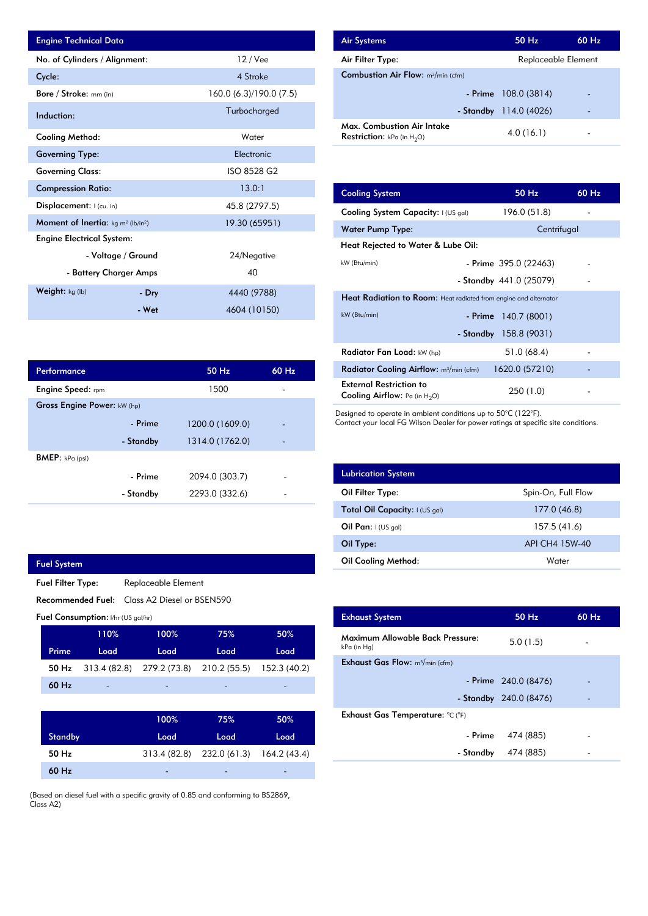| <b>Engine Technical Data</b>          |                        |                         | <b>Air Systems</b>               |
|---------------------------------------|------------------------|-------------------------|----------------------------------|
| No. of Cylinders / Alignment:         |                        | 12 / Vee                | Air Filter Ty                    |
| Cycle:                                |                        | 4 Stroke                | Combustion                       |
| Bore / Stroke: mm (in)                |                        | 160.0 (6.3)/190.0 (7.5) |                                  |
| Induction:                            |                        | Turbocharged            |                                  |
| Cooling Method:                       |                        | Water                   | Max. Comb<br><b>Restriction:</b> |
| <b>Governing Type:</b>                |                        | Electronic              |                                  |
| <b>Governing Class:</b>               |                        | ISO 8528 G2             |                                  |
| <b>Compression Ratio:</b>             |                        | 13.0:1                  | <b>Cooling Sys</b>               |
| Displacement:   (cu. in)              |                        | 45.8 (2797.5)           | <b>Cooling Sys</b>               |
| Moment of Inertia: $kg m^2 (lb/in^2)$ |                        | 19.30 (65951)           | Water Pum                        |
| <b>Engine Electrical System:</b>      |                        |                         | <b>Heat Reject</b>               |
|                                       | - Voltage / Ground     | 24/Negative             | kW (Btu/min)                     |
|                                       | - Battery Charger Amps | 40                      |                                  |
| Weight: kg (lb)                       | - Dry                  | 4440 (9788)             | <b>Heat Radia</b>                |
|                                       | - Wet                  | 4604 (10150)            | $kW$ (Btu/min)                   |

| Performance                 |           | 50 Hz           | 60 Hz |
|-----------------------------|-----------|-----------------|-------|
| <b>Engine Speed:</b> rpm    |           | 1500            |       |
| Gross Engine Power: kW (hp) |           |                 |       |
|                             | - Prime   | 1200.0 (1609.0) |       |
|                             | - Standby | 1314.0 (1762.0) |       |
| <b>BMEP:</b> $kPa$ (psi)    |           |                 |       |
|                             | - Prime   | 2094.0 (303.7)  |       |
|                             | - Standby | 2293.0 (332.6)  |       |
|                             |           |                 |       |

| <b>Fuel System</b>                              |                                                 |                                    |              |              |              |              |
|-------------------------------------------------|-------------------------------------------------|------------------------------------|--------------|--------------|--------------|--------------|
|                                                 | Replaceable Element<br><b>Fuel Filter Type:</b> |                                    |              |              |              |              |
| Recommended Fuel:<br>Class A2 Diesel or BSEN590 |                                                 |                                    |              |              |              |              |
|                                                 |                                                 | Fuel Consumption: I/hr (US gal/hr) |              |              |              |              |
|                                                 |                                                 | 110%                               |              | 100%         | 75%          | 50%          |
|                                                 | Prime                                           | Load                               |              | Load         | Load         | Load         |
|                                                 | 50 Hz                                           | 313.4 (82.8)                       |              | 279.2 (73.8) | 210.2(55.5)  | 152.3 (40.2) |
|                                                 | 60 Hz                                           |                                    |              |              |              |              |
|                                                 |                                                 |                                    |              |              |              |              |
|                                                 |                                                 |                                    |              | 100%         | 75%          | 50%          |
|                                                 | <b>Standby</b>                                  |                                    | Load         |              | Load         | Load         |
|                                                 | 50 Hz                                           |                                    | 313.4 (82.8) |              | 232.0 (61.3) | 164.2 (43.4) |

-

-

(Based on diesel fuel with a specific gravity of 0.85 and conforming to BS2869, Class A2)

-

60 Hz

| <b>Air Systems</b>                                                   | 50 Hz                    | $60$ Hz |
|----------------------------------------------------------------------|--------------------------|---------|
| Air Filter Type:                                                     | Replaceable Element      |         |
| <b>Combustion Air Flow:</b> $m^3/m$ in (cfm)                         |                          |         |
| - Prime                                                              | 108.0 (3814)             | -       |
|                                                                      | - Standby $114.0 (4026)$ | -       |
| Max. Combustion Air Intake<br><b>Restriction:</b> $kPa$ (in $H_2O$ ) | 4.0(16.1)                |         |

|                             | 13.0:1        | <b>Cooling System</b>                                                     | 50 Hz                   | 60 Hz |
|-----------------------------|---------------|---------------------------------------------------------------------------|-------------------------|-------|
| 45.8 (2797.5)               |               | Cooling System Capacity: I (US gal)                                       | 196.0 (51.8)            |       |
|                             | 19.30 (65951) | <b>Water Pump Type:</b>                                                   | Centrifugal             |       |
|                             |               | Heat Rejected to Water & Lube Oil:                                        |                         |       |
| 24/Negative                 |               | kW (Btu/min)                                                              | - Prime 395.0 (22463)   |       |
| 40                          |               |                                                                           | - Standby 441.0 (25079) |       |
| 4440 (9788)<br>4604 (10150) |               | <b>Heat Radiation to Room:</b> Heat radiated from engine and alternator   |                         |       |
|                             |               | kW (Btu/min)                                                              | - Prime $140.7(8001)$   |       |
|                             |               | - Standby                                                                 | 158.8 (9031)            |       |
|                             |               | Radiator Fan Load: kW (hp)                                                | 51.0 (68.4)             |       |
| 50 Hz                       | 60 Hz         | Radiator Cooling Airflow: $m^3/m$ in (cfm)                                | 1620.0 (57210)          |       |
| 1500                        |               | <b>External Restriction to</b><br><b>Cooling Airflow:</b> Pa (in $H_2O$ ) | 250 (1.0)               |       |
|                             |               |                                                                           |                         |       |

Designed to operate in ambient conditions up to 50°C (122°F).

Contact your local FG Wilson Dealer for power ratings at specific site conditions.

| <b>Lubrication System</b>      |                    |
|--------------------------------|--------------------|
| Oil Filter Type:               | Spin-On, Full Flow |
| Total Oil Capacity: I (US gal) | 177.0 (46.8)       |
| Oil Pan: $I(US \text{ gal})$   | 157.5 (41.6)       |
| Oil Type:                      | API CH4 15W-40     |
| <b>Oil Cooling Method:</b>     | Water              |

| <b>Exhaust System</b>                           | 50 Hz                  | 60 Hz |
|-------------------------------------------------|------------------------|-------|
| Maximum Allowable Back Pressure:<br>kPa (in Hg) | 5.0(1.5)               |       |
| <b>Exhaust Gas Flow:</b> $m^3/m$ in (cfm)       |                        |       |
|                                                 | - Prime 240.0 (8476)   |       |
|                                                 | - Standby 240.0 (8476) |       |
| Exhaust Gas Temperature: °C (°F)                |                        |       |
| - Prime                                         | 474 (885)              |       |
| - Standby                                       | 474 (885)              |       |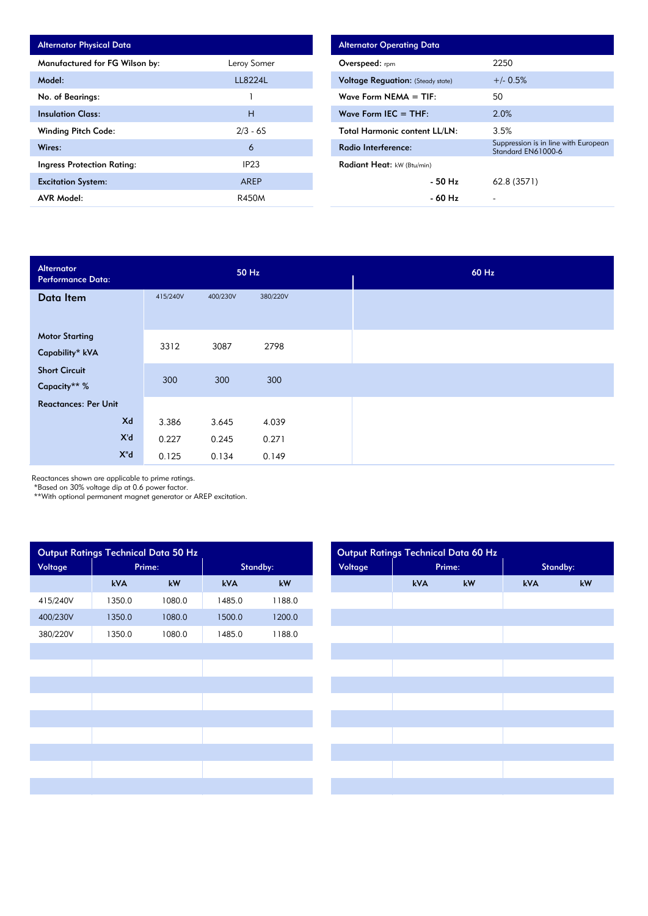| <b>Alternator Physical Data</b> |                  |
|---------------------------------|------------------|
| Manufactured for FG Wilson by:  | Leroy Somer      |
| Model:                          | 1182241          |
| No. of Bearings:                | 1                |
| <b>Insulation Class:</b>        | н                |
| <b>Winding Pitch Code:</b>      | $2/3 - 6S$       |
| Wires:                          | 6                |
| Ingress Protection Rating:      | IP <sub>23</sub> |
| <b>Excitation System:</b>       | <b>AREP</b>      |
| <b>AVR Model:</b>               | R450M            |

| <b>Alternator Operating Data</b>         |                                                            |
|------------------------------------------|------------------------------------------------------------|
| Overspeed: rpm                           | 2250                                                       |
| <b>Voltage Requation:</b> (Steady state) | $+/- 0.5%$                                                 |
| Wave Form $NEMA = TIF$ :                 | 50                                                         |
| Wave Form IEC $=$ THF:                   | 2.0%                                                       |
| <b>Total Harmonic content LL/LN:</b>     | 3.5%                                                       |
| Radio Interference:                      | Suppression is in line with European<br>Standard EN61000-6 |
| Radiant Heat: kW (Btu/min)               |                                                            |
| - 50 Hz                                  | 62.8 (3571)                                                |
| - 60 Hz                                  |                                                            |

| Alternator<br><b>Performance Data:</b> |          |          | 50 Hz    |  |
|----------------------------------------|----------|----------|----------|--|
| Data Item                              | 415/240V | 400/230V | 380/220V |  |
|                                        |          |          |          |  |
| <b>Motor Starting</b>                  | 3312     | 3087     | 2798     |  |
| Capability* kVA                        |          |          |          |  |
| <b>Short Circuit</b>                   | 300      | 300      | 300      |  |
| Capacity** %                           |          |          |          |  |
| <b>Reactances: Per Unit</b>            |          |          |          |  |
| Xd                                     | 3.386    | 3.645    | 4.039    |  |
| X'd                                    | 0.227    | 0.245    | 0.271    |  |
| $X^{\mathrm{H}}$ d                     | 0.125    | 0.134    | 0.149    |  |

Reactances shown are applicable to prime ratings.

\*Based on 30% voltage dip at 0.6 power factor.

\*\*With optional permanent magnet generator or AREP excitation.

|          | Output Ratings Technical Data 50 Hz |        |        |          |
|----------|-------------------------------------|--------|--------|----------|
| Voltage  | Prime:                              |        |        | Standby: |
|          | kVA                                 | kW     | kVA    | kW       |
| 415/240V | 1350.0                              | 1080.0 | 1485.0 | 1188.0   |
| 400/230V | 1350.0                              | 1080.0 | 1500.0 | 1200.0   |
| 380/220V | 1350.0                              | 1080.0 | 1485.0 | 1188.0   |
|          |                                     |        |        |          |
|          |                                     |        |        |          |
|          |                                     |        |        |          |
|          |                                     |        |        |          |
|          |                                     |        |        |          |
|          |                                     |        |        |          |
|          |                                     |        |        |          |
|          |                                     |        |        |          |
|          |                                     |        |        |          |